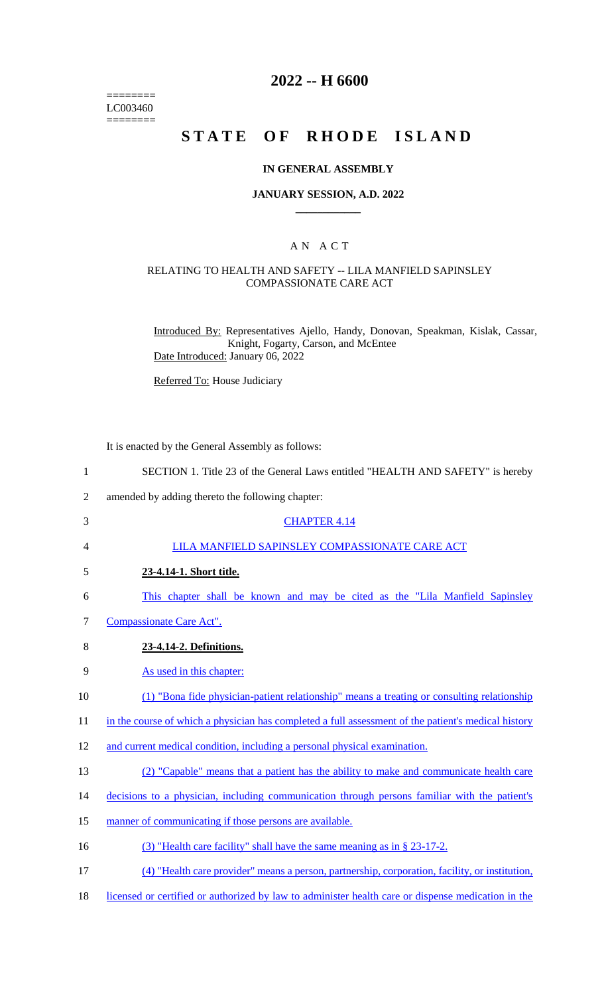======== LC003460  $=$ 

# **2022 -- H 6600**

# **STATE OF RHODE ISLAND**

#### **IN GENERAL ASSEMBLY**

#### **JANUARY SESSION, A.D. 2022 \_\_\_\_\_\_\_\_\_\_\_\_**

### A N A C T

#### RELATING TO HEALTH AND SAFETY -- LILA MANFIELD SAPINSLEY COMPASSIONATE CARE ACT

Introduced By: Representatives Ajello, Handy, Donovan, Speakman, Kislak, Cassar, Knight, Fogarty, Carson, and McEntee Date Introduced: January 06, 2022

Referred To: House Judiciary

It is enacted by the General Assembly as follows:

| $\mathbf{1}$   | SECTION 1. Title 23 of the General Laws entitled "HEALTH AND SAFETY" is hereby                      |
|----------------|-----------------------------------------------------------------------------------------------------|
| $\overline{2}$ | amended by adding thereto the following chapter:                                                    |
| 3              | <b>CHAPTER 4.14</b>                                                                                 |
| $\overline{4}$ | LILA MANFIELD SAPINSLEY COMPASSIONATE CARE ACT                                                      |
| 5              | 23-4.14-1. Short title.                                                                             |
| 6              | This chapter shall be known and may be cited as the "Lila Manfield Sapinsley"                       |
| 7              | Compassionate Care Act".                                                                            |
| 8              | 23-4.14-2. Definitions.                                                                             |
| 9              | As used in this chapter:                                                                            |
| 10             | (1) "Bona fide physician-patient relationship" means a treating or consulting relationship          |
| 11             | in the course of which a physician has completed a full assessment of the patient's medical history |
| 12             | and current medical condition, including a personal physical examination.                           |
| 13             | (2) "Capable" means that a patient has the ability to make and communicate health care              |
| 14             | decisions to a physician, including communication through persons familiar with the patient's       |
| 15             | manner of communicating if those persons are available.                                             |
| 16             | (3) "Health care facility" shall have the same meaning as in § 23-17-2.                             |
| 17             | (4) "Health care provider" means a person, partnership, corporation, facility, or institution,      |

18 licensed or certified or authorized by law to administer health care or dispense medication in the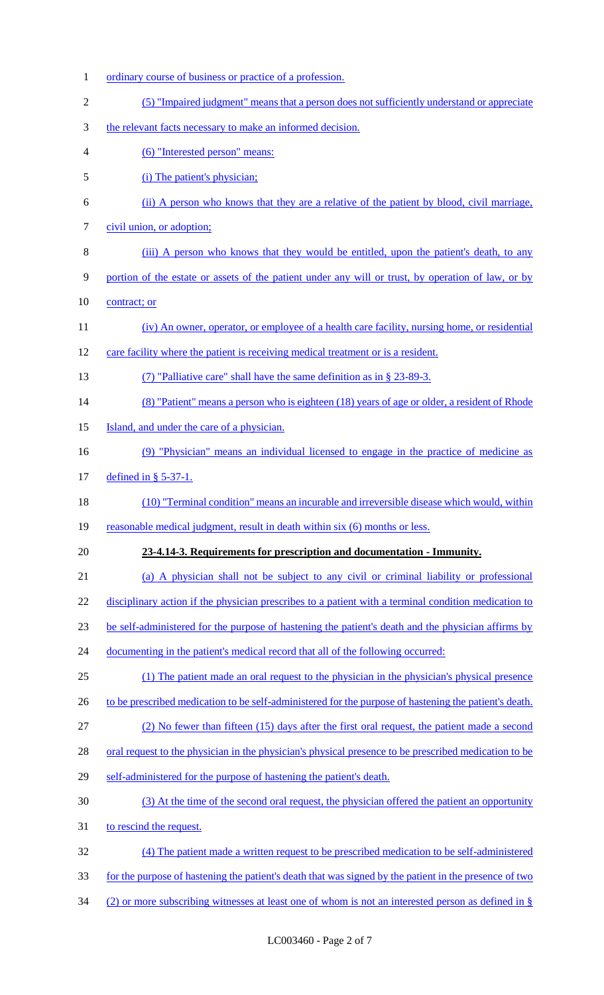1 ordinary course of business or practice of a profession. (5) "Impaired judgment" means that a person does not sufficiently understand or appreciate the relevant facts necessary to make an informed decision. (6) "Interested person" means: (i) The patient's physician; (ii) A person who knows that they are a relative of the patient by blood, civil marriage, 7 civil union, or adoption; 8 (iii) A person who knows that they would be entitled, upon the patient's death, to any portion of the estate or assets of the patient under any will or trust, by operation of law, or by 10 contract; or (iv) An owner, operator, or employee of a health care facility, nursing home, or residential care facility where the patient is receiving medical treatment or is a resident. (7) "Palliative care" shall have the same definition as in § 23-89-3. 14 (8) "Patient" means a person who is eighteen (18) years of age or older, a resident of Rhode 15 Island, and under the care of a physician. (9) "Physician" means an individual licensed to engage in the practice of medicine as defined in § 5-37-1. (10) "Terminal condition" means an incurable and irreversible disease which would, within 19 reasonable medical judgment, result in death within six (6) months or less. **23-4.14-3. Requirements for prescription and documentation - Immunity.** (a) A physician shall not be subject to any civil or criminal liability or professional 22 disciplinary action if the physician prescribes to a patient with a terminal condition medication to be self-administered for the purpose of hastening the patient's death and the physician affirms by 24 documenting in the patient's medical record that all of the following occurred: (1) The patient made an oral request to the physician in the physician's physical presence 26 to be prescribed medication to be self-administered for the purpose of hastening the patient's death. (2) No fewer than fifteen (15) days after the first oral request, the patient made a second 28 oral request to the physician in the physician's physical presence to be prescribed medication to be self-administered for the purpose of hastening the patient's death. (3) At the time of the second oral request, the physician offered the patient an opportunity to rescind the request. (4) The patient made a written request to be prescribed medication to be self-administered for the purpose of hastening the patient's death that was signed by the patient in the presence of two (2) or more subscribing witnesses at least one of whom is not an interested person as defined in §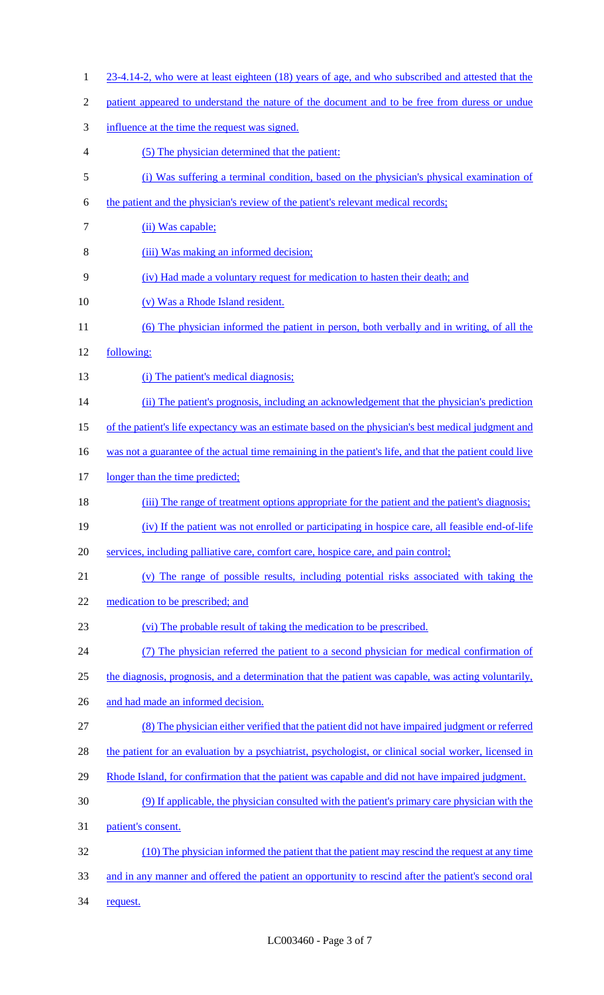- 1 23-4.14-2, who were at least eighteen (18) years of age, and who subscribed and attested that the
- 2 patient appeared to understand the nature of the document and to be free from duress or undue
- 3 influence at the time the request was signed.
- 4 (5) The physician determined that the patient:
- 5 (i) Was suffering a terminal condition, based on the physician's physical examination of
- 6 the patient and the physician's review of the patient's relevant medical records;
- 7 (ii) Was capable;
- 8 (iii) Was making an informed decision;
- 9 (iv) Had made a voluntary request for medication to hasten their death; and
- 10 (v) Was a Rhode Island resident.
- 11 (6) The physician informed the patient in person, both verbally and in writing, of all the
- 12 following:
- 13 (i) The patient's medical diagnosis;
- 14 (ii) The patient's prognosis, including an acknowledgement that the physician's prediction
- 15 of the patient's life expectancy was an estimate based on the physician's best medical judgment and
- 16 was not a guarantee of the actual time remaining in the patient's life, and that the patient could live
- 17 longer than the time predicted;
- 18 (iii) The range of treatment options appropriate for the patient and the patient's diagnosis;
- 19 (iv) If the patient was not enrolled or participating in hospice care, all feasible end-of-life
- 20 services, including palliative care, comfort care, hospice care, and pain control;
- 21 (v) The range of possible results, including potential risks associated with taking the
- 22 medication to be prescribed; and
- 23 (vi) The probable result of taking the medication to be prescribed.
- 24 (7) The physician referred the patient to a second physician for medical confirmation of
- 25 the diagnosis, prognosis, and a determination that the patient was capable, was acting voluntarily,
- 26 and had made an informed decision.
- 27 (8) The physician either verified that the patient did not have impaired judgment or referred
- 28 the patient for an evaluation by a psychiatrist, psychologist, or clinical social worker, licensed in
- 29 Rhode Island, for confirmation that the patient was capable and did not have impaired judgment.
- 30 (9) If applicable, the physician consulted with the patient's primary care physician with the
- 31 patient's consent.
- 32 (10) The physician informed the patient that the patient may rescind the request at any time 33 and in any manner and offered the patient an opportunity to rescind after the patient's second oral
- 34 request.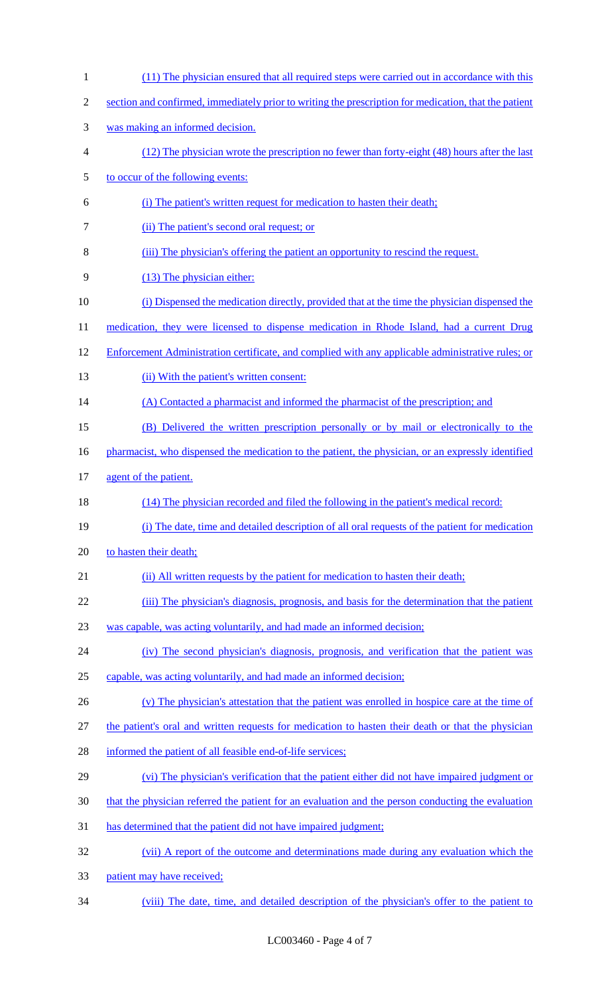| $\mathbf{1}$   | (11) The physician ensured that all required steps were carried out in accordance with this           |
|----------------|-------------------------------------------------------------------------------------------------------|
| $\mathbf{2}$   | section and confirmed, immediately prior to writing the prescription for medication, that the patient |
| 3              | was making an informed decision.                                                                      |
| $\overline{4}$ | (12) The physician wrote the prescription no fewer than forty-eight (48) hours after the last         |
| $\mathfrak s$  | to occur of the following events:                                                                     |
| 6              | (i) The patient's written request for medication to hasten their death;                               |
| $\tau$         | (ii) The patient's second oral request; or                                                            |
| 8              | (iii) The physician's offering the patient an opportunity to rescind the request.                     |
| 9              | (13) The physician either:                                                                            |
| 10             | (i) Dispensed the medication directly, provided that at the time the physician dispensed the          |
| 11             | medication, they were licensed to dispense medication in Rhode Island, had a current Drug             |
| 12             | Enforcement Administration certificate, and complied with any applicable administrative rules; or     |
| 13             | (ii) With the patient's written consent:                                                              |
| 14             | (A) Contacted a pharmacist and informed the pharmacist of the prescription; and                       |
| 15             | (B) Delivered the written prescription personally or by mail or electronically to the                 |
| 16             | pharmacist, who dispensed the medication to the patient, the physician, or an expressly identified    |
| 17             | agent of the patient.                                                                                 |
| 18             | (14) The physician recorded and filed the following in the patient's medical record:                  |
| 19             | (i) The date, time and detailed description of all oral requests of the patient for medication        |
| 20             | to hasten their death;                                                                                |
| 21             | (ii) All written requests by the patient for medication to hasten their death;                        |
| 22             | (iii) The physician's diagnosis, prognosis, and basis for the determination that the patient          |
| 23             | was capable, was acting voluntarily, and had made an informed decision;                               |
| 24             | (iv) The second physician's diagnosis, prognosis, and verification that the patient was               |
| 25             | capable, was acting voluntarily, and had made an informed decision;                                   |
| 26             | (v) The physician's attestation that the patient was enrolled in hospice care at the time of          |
| 27             | the patient's oral and written requests for medication to hasten their death or that the physician    |
| 28             | informed the patient of all feasible end-of-life services;                                            |
| 29             | (vi) The physician's verification that the patient either did not have impaired judgment or           |
| 30             | that the physician referred the patient for an evaluation and the person conducting the evaluation    |
| 31             | has determined that the patient did not have impaired judgment;                                       |
| 32             | (vii) A report of the outcome and determinations made during any evaluation which the                 |
| 33             | patient may have received;                                                                            |
| 34             | (viii) The date, time, and detailed description of the physician's offer to the patient to            |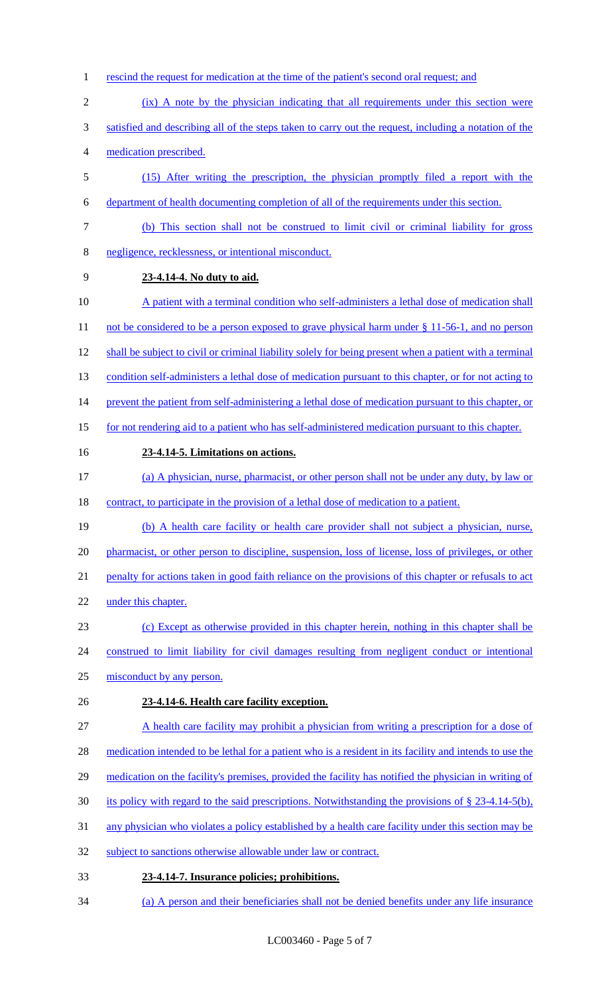- rescind the request for medication at the time of the patient's second oral request; and
- 2 (ix) A note by the physician indicating that all requirements under this section were
- satisfied and describing all of the steps taken to carry out the request, including a notation of the medication prescribed.
- (15) After writing the prescription, the physician promptly filed a report with the
- department of health documenting completion of all of the requirements under this section.
- (b) This section shall not be construed to limit civil or criminal liability for gross negligence, recklessness, or intentional misconduct.
- **23-4.14-4. No duty to aid.**
- 10 A patient with a terminal condition who self-administers a lethal dose of medication shall
- 11 not be considered to be a person exposed to grave physical harm under § 11-56-1, and no person
- 12 shall be subject to civil or criminal liability solely for being present when a patient with a terminal
- 13 condition self-administers a lethal dose of medication pursuant to this chapter, or for not acting to
- 14 prevent the patient from self-administering a lethal dose of medication pursuant to this chapter, or
- for not rendering aid to a patient who has self-administered medication pursuant to this chapter.
- 

#### **23-4.14-5. Limitations on actions.**

- (a) A physician, nurse, pharmacist, or other person shall not be under any duty, by law or 18 contract, to participate in the provision of a lethal dose of medication to a patient.
- (b) A health care facility or health care provider shall not subject a physician, nurse, 20 pharmacist, or other person to discipline, suspension, loss of license, loss of privileges, or other penalty for actions taken in good faith reliance on the provisions of this chapter or refusals to act under this chapter.
- (c) Except as otherwise provided in this chapter herein, nothing in this chapter shall be
- construed to limit liability for civil damages resulting from negligent conduct or intentional
- misconduct by any person.
- **23-4.14-6. Health care facility exception.**
- A health care facility may prohibit a physician from writing a prescription for a dose of
- 28 medication intended to be lethal for a patient who is a resident in its facility and intends to use the
- 29 medication on the facility's premises, provided the facility has notified the physician in writing of
- 30 its policy with regard to the said prescriptions. Notwithstanding the provisions of  $\S$  23-4.14-5(b),
- any physician who violates a policy established by a health care facility under this section may be
- 32 subject to sanctions otherwise allowable under law or contract.
- **23-4.14-7. Insurance policies; prohibitions.**
- (a) A person and their beneficiaries shall not be denied benefits under any life insurance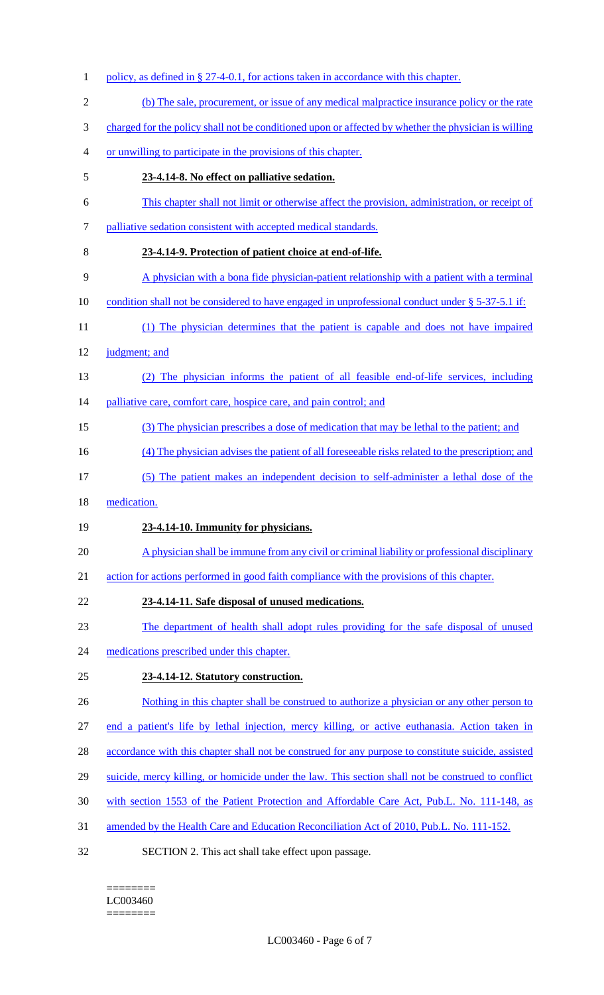1 policy, as defined in § 27-4-0.1, for actions taken in accordance with this chapter. (b) The sale, procurement, or issue of any medical malpractice insurance policy or the rate charged for the policy shall not be conditioned upon or affected by whether the physician is willing or unwilling to participate in the provisions of this chapter. **23-4.14-8. No effect on palliative sedation.** This chapter shall not limit or otherwise affect the provision, administration, or receipt of palliative sedation consistent with accepted medical standards. **23-4.14-9. Protection of patient choice at end-of-life.** A physician with a bona fide physician-patient relationship with a patient with a terminal 10 condition shall not be considered to have engaged in unprofessional conduct under § 5-37-5.1 if: (1) The physician determines that the patient is capable and does not have impaired judgment; and (2) The physician informs the patient of all feasible end-of-life services, including 14 palliative care, comfort care, hospice care, and pain control; and (3) The physician prescribes a dose of medication that may be lethal to the patient; and 16 (4) The physician advises the patient of all foreseeable risks related to the prescription; and (5) The patient makes an independent decision to self-administer a lethal dose of the medication. **23-4.14-10. Immunity for physicians.** A physician shall be immune from any civil or criminal liability or professional disciplinary action for actions performed in good faith compliance with the provisions of this chapter. **23-4.14-11. Safe disposal of unused medications.** The department of health shall adopt rules providing for the safe disposal of unused 24 medications prescribed under this chapter. **23-4.14-12. Statutory construction.** 26 Nothing in this chapter shall be construed to authorize a physician or any other person to end a patient's life by lethal injection, mercy killing, or active euthanasia. Action taken in 28 accordance with this chapter shall not be construed for any purpose to constitute suicide, assisted 29 suicide, mercy killing, or homicide under the law. This section shall not be construed to conflict with section 1553 of the Patient Protection and Affordable Care Act, Pub.L. No. 111-148, as amended by the Health Care and Education Reconciliation Act of 2010, Pub.L. No. 111-152. SECTION 2. This act shall take effect upon passage.

======== LC003460 ========